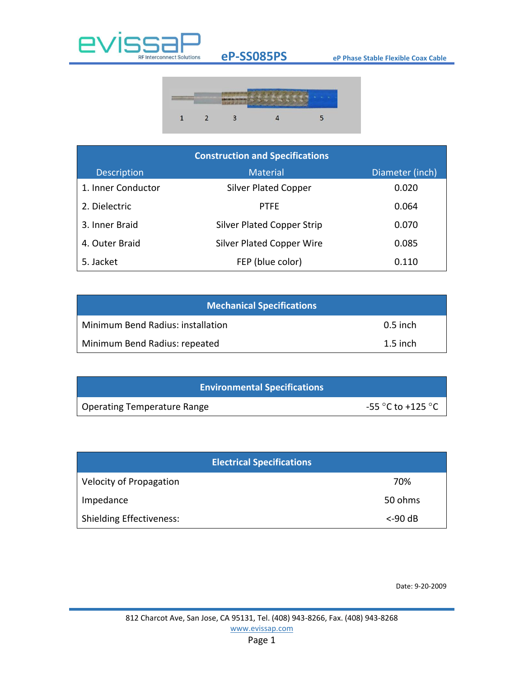

## **eP-SS085PS eP Phase Stable Flexible Coax Cable**



| <b>Construction and Specifications</b> |                                   |                 |  |  |
|----------------------------------------|-----------------------------------|-----------------|--|--|
| Description                            | <b>Material</b>                   | Diameter (inch) |  |  |
| 1. Inner Conductor                     | <b>Silver Plated Copper</b>       | 0.020           |  |  |
| 2. Dielectric                          | <b>PTFE</b>                       | 0.064           |  |  |
| 3. Inner Braid                         | <b>Silver Plated Copper Strip</b> | 0.070           |  |  |
| 4. Outer Braid                         | <b>Silver Plated Copper Wire</b>  | 0.085           |  |  |
| 5. Jacket                              | FEP (blue color)                  | 0.110           |  |  |

| <b>Mechanical Specifications</b>  |            |  |  |  |
|-----------------------------------|------------|--|--|--|
| Minimum Bend Radius: installation | $0.5$ inch |  |  |  |
| Minimum Bend Radius: repeated     | $1.5$ inch |  |  |  |

| <b>Environmental Specifications</b> |                                       |
|-------------------------------------|---------------------------------------|
| Operating Temperature Range         | -55 $^{\circ}$ C to +125 $^{\circ}$ C |

| <b>Electrical Specifications</b> |            |
|----------------------------------|------------|
| <b>Velocity of Propagation</b>   | 70%        |
| Impedance                        | 50 ohms    |
| <b>Shielding Effectiveness:</b>  | $<$ -90 dB |

Date: 9-20-2009